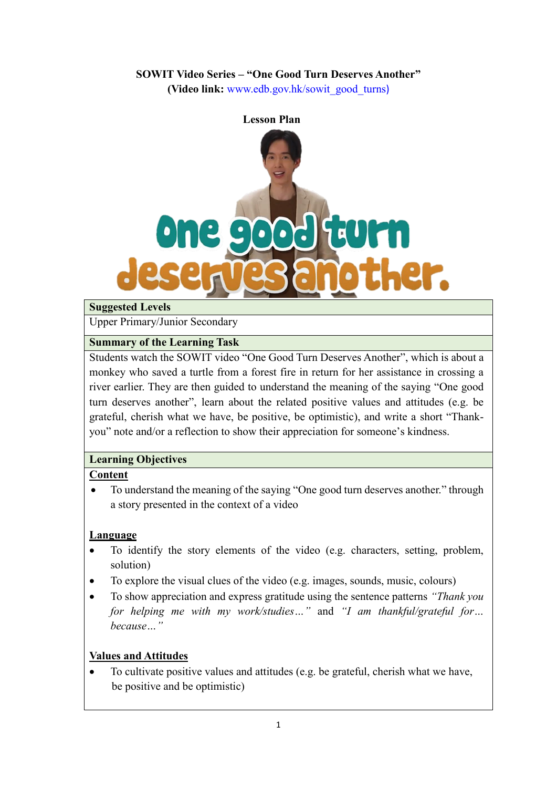### **SOWIT Video Series – "One Good Turn Deserves Another"**

**(Video link:** [www.edb.gov.hk/sowit\\_good\\_turns](http://www.edb.gov.hk/sowit_good_turns))



#### **Suggested Levels**

Upper Primary/Junior Secondary

#### **Summary of the Learning Task**

Students watch the SOWIT video "One Good Turn Deserves Another", which is about a monkey who saved a turtle from a forest fire in return for her assistance in crossing a river earlier. They are then guided to understand the meaning of the saying "One good turn deserves another", learn about the related positive values and attitudes (e.g. be grateful, cherish what we have, be positive, be optimistic), and write a short "Thankyou" note and/or a reflection to show their appreciation for someone's kindness.

### **Learning Objectives**

### **Content**

• To understand the meaning of the saying "One good turn deserves another." through a story presented in the context of a video

### **Language**

- To identify the story elements of the video (e.g. characters, setting, problem, solution)
- To explore the visual clues of the video (e.g. images, sounds, music, colours)
- To show appreciation and express gratitude using the sentence patterns *"Thank you for helping me with my work/studies…"* and *"I am thankful/grateful for… because…"*

### **Values and Attitudes**

 To cultivate positive values and attitudes (e.g. be grateful, cherish what we have, be positive and be optimistic)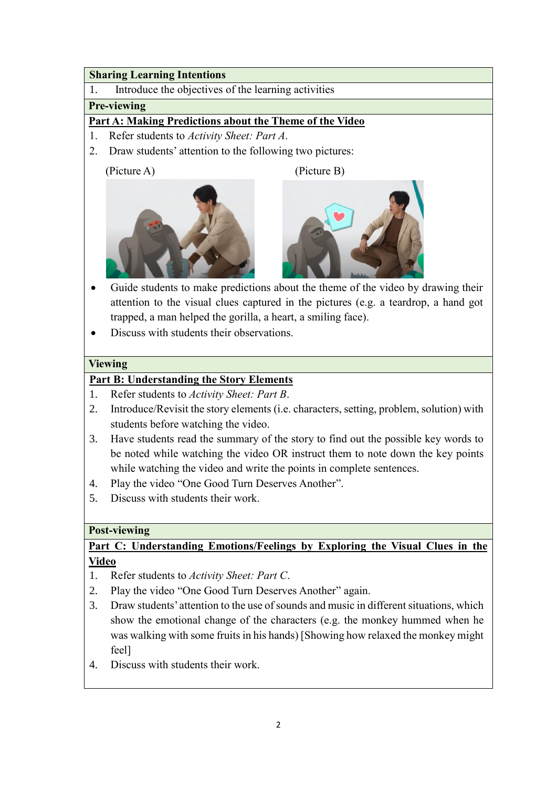#### **Sharing Learning Intentions**

1. Introduce the objectives of the learning activities

### **Pre-viewing**

### **Part A: Making Predictions about the Theme of the Video**

- 1. Refer students to *Activity Sheet: Part A*.
- 2. Draw students' attention to the following two pictures:

(Picture A) (Picture B)





- Guide students to make predictions about the theme of the video by drawing their attention to the visual clues captured in the pictures (e.g. a teardrop, a hand got trapped, a man helped the gorilla, a heart, a smiling face).
- Discuss with students their observations.

### **Viewing**

### **Part B: Understanding the Story Elements**

- 1. Refer students to *Activity Sheet: Part B*.
- 2. Introduce/Revisit the story elements (i.e. characters, setting, problem, solution) with students before watching the video.
- 3. Have students read the summary of the story to find out the possible key words to be noted while watching the video OR instruct them to note down the key points while watching the video and write the points in complete sentences.
- 4. Play the video "One Good Turn Deserves Another".
- 5. Discuss with students their work.

### **Post-viewing**

### **Part C: Understanding Emotions/Feelings by Exploring the Visual Clues in the Video**

- 1. Refer students to *Activity Sheet: Part C*.
- 2. Play the video "One Good Turn Deserves Another" again.
- 3. Draw students' attention to the use of sounds and music in different situations, which show the emotional change of the characters (e.g. the monkey hummed when he was walking with some fruits in his hands) [Showing how relaxed the monkey might feel]
- 4. Discuss with students their work.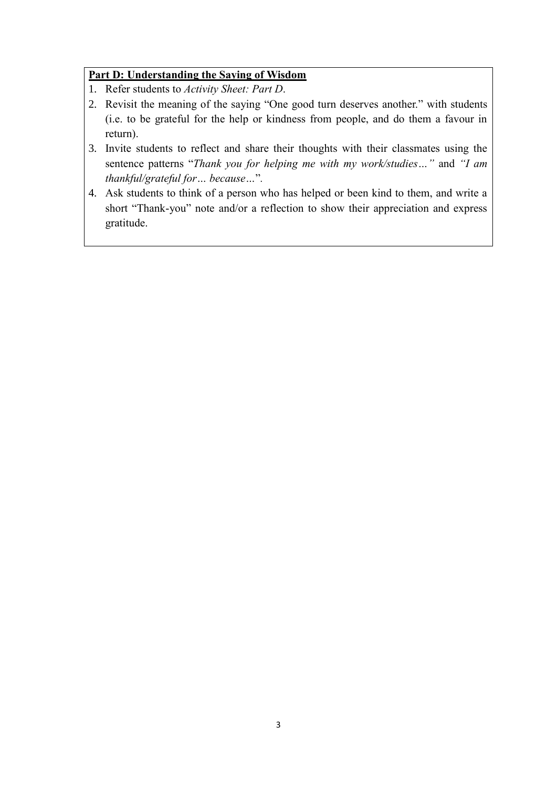### **Part D: Understanding the Saying of Wisdom**

- 1. Refer students to *Activity Sheet: Part D*.
- 2. Revisit the meaning of the saying "One good turn deserves another." with students (i.e. to be grateful for the help or kindness from people, and do them a favour in return).
- 3. Invite students to reflect and share their thoughts with their classmates using the sentence patterns "*Thank you for helping me with my work/studies…"* and *"I am thankful/grateful for… because…*"*.*
- 4. Ask students to think of a person who has helped or been kind to them, and write a short "Thank-you" note and/or a reflection to show their appreciation and express gratitude.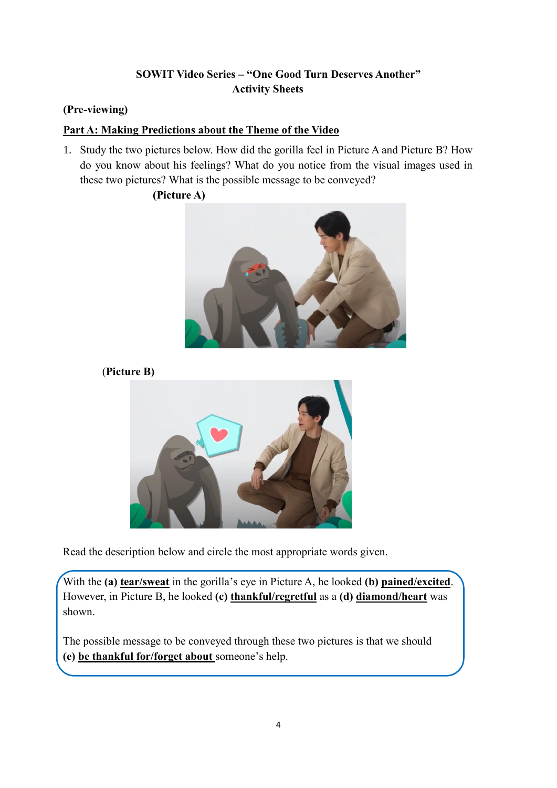## **SOWIT Video Series – "One Good Turn Deserves Another" Activity Sheets**

### **(Pre-viewing)**

### **Part A: Making Predictions about the Theme of the Video**

1. Study the two pictures below. How did the gorilla feel in Picture A and Picture B? How do you know about his feelings? What do you notice from the visual images used in these two pictures? What is the possible message to be conveyed?

### **(Picture A)**







Read the description below and circle the most appropriate words given.

With the **(a) tear/sweat** in the gorilla's eye in Picture A, he looked **(b) pained/excited**. However, in Picture B, he looked **(c) thankful/regretful** as a **(d) diamond/heart** was shown.

The possible message to be conveyed through these two pictures is that we should **(e) be thankful for/forget about** someone's help.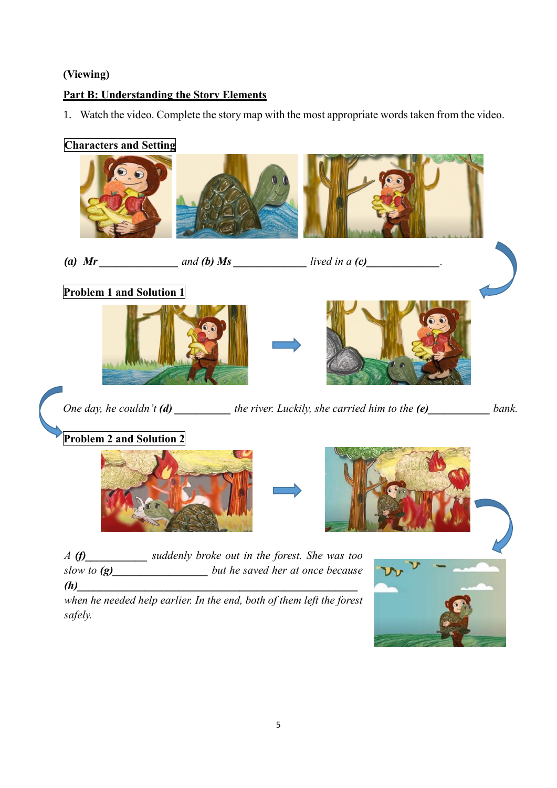# **(Viewing)**

# **Part B: Understanding the Story Elements**

1. Watch the video. Complete the story map with the most appropriate words taken from the video.

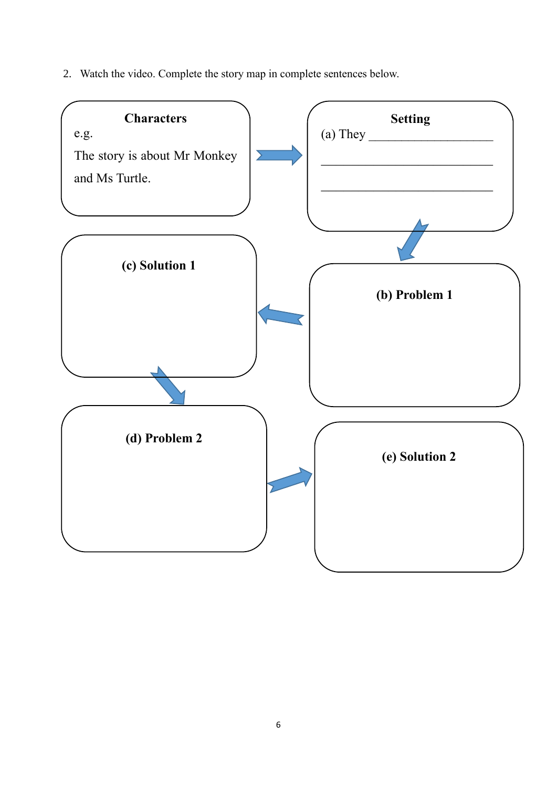2. Watch the video. Complete the story map in complete sentences below.

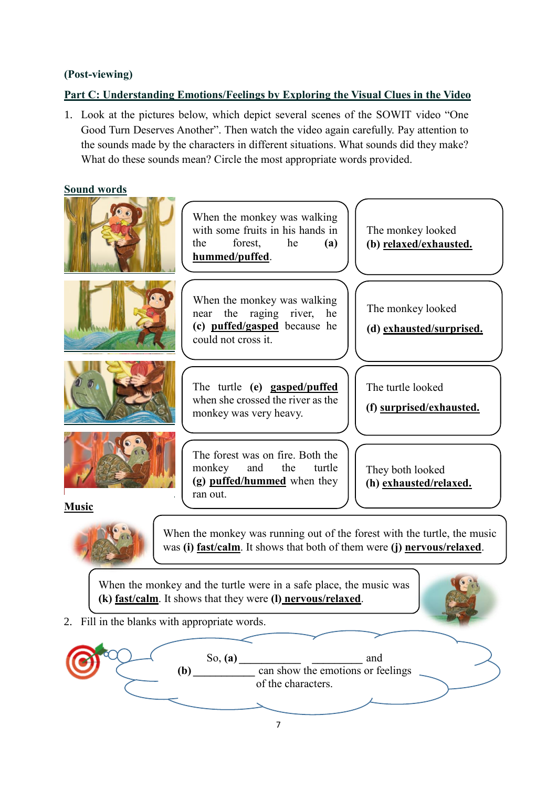### **(Post-viewing)**

### **Part C: Understanding Emotions/Feelings by Exploring the Visual Clues in the Video**

1. Look at the pictures below, which depict several scenes of the SOWIT video "One Good Turn Deserves Another". Then watch the video again carefully. Pay attention to the sounds made by the characters in different situations. What sounds did they make? What do these sounds mean? Circle the most appropriate words provided.

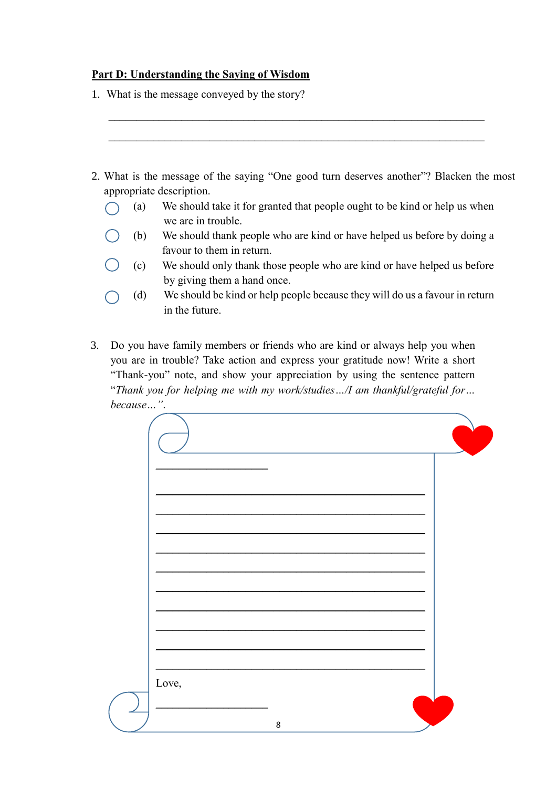#### **Part D: Understanding the Saying of Wisdom**

- 1. What is the message conveyed by the story?
- 2. What is the message of the saying "One good turn deserves another"? Blacken the most appropriate description.

 $\mathcal{L}_\text{max}$  , and the contribution of the contribution of the contribution of the contribution of the contribution of the contribution of the contribution of the contribution of the contribution of the contribution of t

 $\mathcal{L}_\text{max}$  , and the contribution of the contribution of the contribution of the contribution of the contribution of the contribution of the contribution of the contribution of the contribution of the contribution of t

- (a) We should take it for granted that people ought to be kind or help us when  $\left(\begin{array}{c} \end{array}\right)$ we are in trouble.
	- (b) We should thank people who are kind or have helped us before by doing a favour to them in return.
- (c) We should only thank those people who are kind or have helped us before by giving them a hand once.
- (d) We should be kind or help people because they will do us a favour in return in the future.
- 3. Do you have family members or friends who are kind or always help you when you are in trouble? Take action and express your gratitude now! Write a short "Thank-you" note, and show your appreciation by using the sentence pattern "*Thank you for helping me with my work/studies…/I am thankful/grateful for… because…"*.

| Love,   |  |
|---------|--|
| $\bf 8$ |  |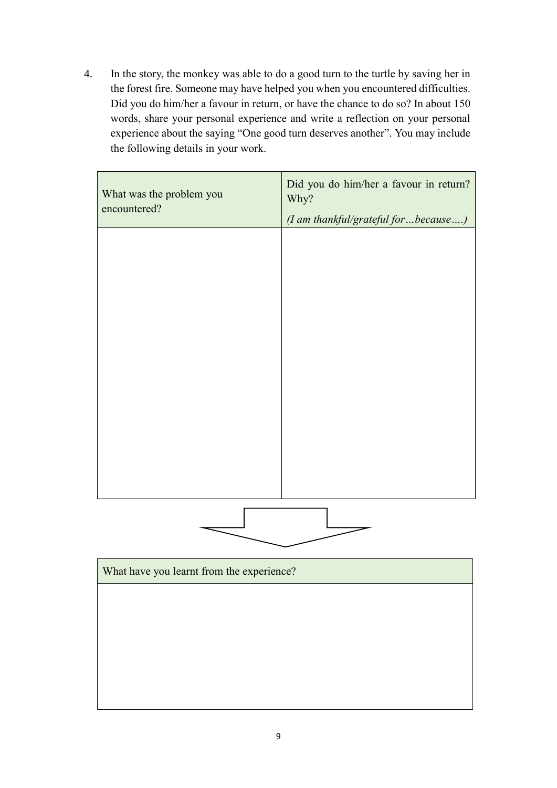4. In the story, the monkey was able to do a good turn to the turtle by saving her in the forest fire. Someone may have helped you when you encountered difficulties. Did you do him/her a favour in return, or have the chance to do so? In about 150 words, share your personal experience and write a reflection on your personal experience about the saying "One good turn deserves another". You may include the following details in your work.

| What was the problem you<br>encountered?  | Did you do him/her a favour in return?<br>Why?<br>(I am thankful/grateful for  because ) |  |  |  |
|-------------------------------------------|------------------------------------------------------------------------------------------|--|--|--|
|                                           |                                                                                          |  |  |  |
|                                           |                                                                                          |  |  |  |
|                                           |                                                                                          |  |  |  |
|                                           |                                                                                          |  |  |  |
|                                           |                                                                                          |  |  |  |
|                                           |                                                                                          |  |  |  |
|                                           |                                                                                          |  |  |  |
|                                           |                                                                                          |  |  |  |
| What have you learnt from the experience? |                                                                                          |  |  |  |
|                                           |                                                                                          |  |  |  |